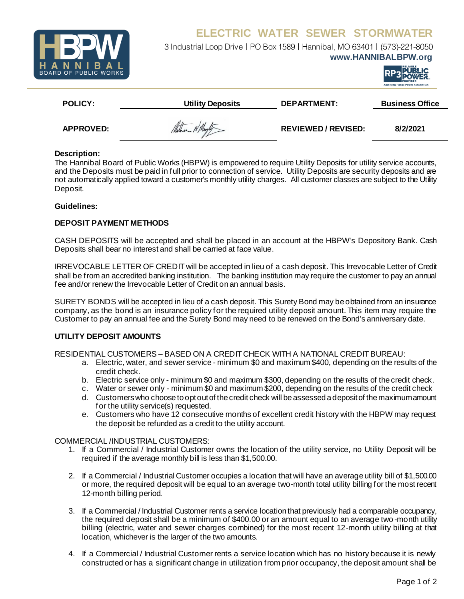

# **ELECTRIC WATER SEWER STORMWATER**

3 Industrial Loop Drive | PO Box 1589 | Hannibal, MO 63401 | (573)-221-8050 **www.HANNIBALBPW.org**



| <b>POLICY:</b>   | <b>Utility Deposits</b> | <b>DEPARTMENT:</b>       | <b>Business Office</b> |
|------------------|-------------------------|--------------------------|------------------------|
| <b>APPROVED:</b> | Mather N Mugli          | <b>REVIEWED/REVISED:</b> | 8/2/2021               |

### **Description:**

The Hannibal Board of Public Works (HBPW) is empowered to require Utility Deposits for utility service accounts, and the Deposits must be paid in full prior to connection of service. Utility Deposits are security deposits and are not automatically applied toward a customer's monthly utility charges. All customer classes are subject to the Utility Deposit.

## **Guidelines:**

## **DEPOSIT PAYMENT METHODS**

CASH DEPOSITS will be accepted and shall be placed in an account at the HBPW's Depository Bank. Cash Deposits shall bear no interest and shall be carried at face value.

IRREVOCABLE LETTER OF CREDIT will be accepted in lieu of a cash deposit. This Irrevocable Letter of Credit shall be from an accredited banking institution. The banking institution may require the customer to pay an annual fee and/or renew the Irrevocable Letter of Credit on an annual basis.

SURETY BONDS will be accepted in lieu of a cash deposit. This Surety Bond may be obtained from an insurance company, as the bond is an insurance policy for the required utility deposit amount. This item may require the Customer to pay an annual fee and the Surety Bond may need to be renewed on the Bond's anniversary date.

## **UTILITY DEPOSIT AMOUNTS**

RESIDENTIAL CUSTOMERS – BASED ON A CREDIT CHECK WITH A NATIONAL CREDIT BUREAU:

- a. Electric, water, and sewer service minimum \$0 and maximum \$400, depending on the results of the credit check.
- b. Electric service only minimum \$0 and maximum \$300, depending on the results of the credit check.
- c. Water or sewer only minimum \$0 and maximum \$200, depending on the results of the credit check
- d. Customers who choose to opt out of the credit check will be assessed a deposit of the maximum amount for the utility service(s) requested.
- e. Customers who have 12 consecutive months of excellent credit history with the HBPW may request the deposit be refunded as a credit to the utility account.

#### COMMERCIAL /INDUSTRIAL CUSTOMERS:

- 1. If a Commercial / Industrial Customer owns the location of the utility service, no Utility Deposit will be required if the average monthly bill is less than \$1,500.00.
- 2. If a Commercial / Industrial Customer occupies a location that will have an average utility bill of \$1,500.00 or more, the required deposit will be equal to an average two-month total utility billing for the most recent 12-month billing period.
- 3. If a Commercial / Industrial Customer rents a service location that previously had a comparable occupancy, the required deposit shall be a minimum of \$400.00 or an amount equal to an average two -month utility billing (electric, water and sewer charges combined) for the most recent 12-month utility billing at that location, whichever is the larger of the two amounts.
- 4. If a Commercial / Industrial Customer rents a service location which has no history because it is newly constructed or has a significant change in utilization from prior occupancy, the deposit amount shall be